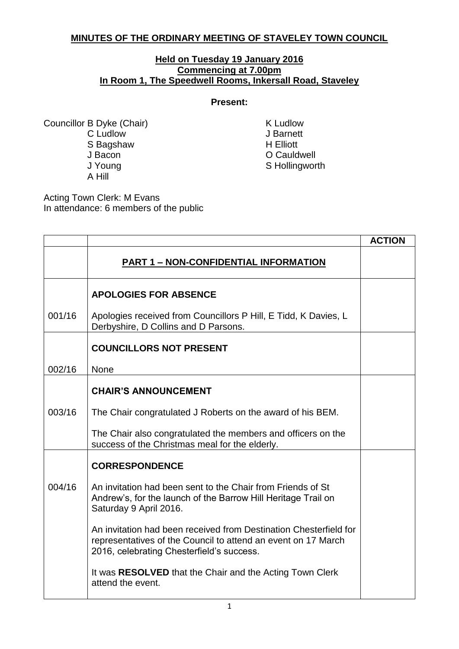## **MINUTES OF THE ORDINARY MEETING OF STAVELEY TOWN COUNCIL**

## **Held on Tuesday 19 January 2016 Commencing at 7.00pm In Room 1, The Speedwell Rooms, Inkersall Road, Staveley**

## **Present:**

Councillor B Dyke (Chair) K Ludlow C Ludlow J Barnett<br>
S Baashaw M H Elliott S Bagshaw J Bacon **O Cauldwell** J Young Sandwich Structure Structure Structure Structure Structure Structure Structure Structure Structure Structure Structure Structure Structure Structure Structure Structure Structure Structure Structure Structure Struc A Hill

Acting Town Clerk: M Evans In attendance: 6 members of the public

|        |                                                                                                                                                                                 | <b>ACTION</b> |
|--------|---------------------------------------------------------------------------------------------------------------------------------------------------------------------------------|---------------|
|        | <b>PART 1 - NON-CONFIDENTIAL INFORMATION</b>                                                                                                                                    |               |
|        | <b>APOLOGIES FOR ABSENCE</b>                                                                                                                                                    |               |
| 001/16 | Apologies received from Councillors P Hill, E Tidd, K Davies, L<br>Derbyshire, D Collins and D Parsons.                                                                         |               |
|        | <b>COUNCILLORS NOT PRESENT</b>                                                                                                                                                  |               |
| 002/16 | <b>None</b>                                                                                                                                                                     |               |
|        | <b>CHAIR'S ANNOUNCEMENT</b>                                                                                                                                                     |               |
| 003/16 | The Chair congratulated J Roberts on the award of his BEM.                                                                                                                      |               |
|        | The Chair also congratulated the members and officers on the<br>success of the Christmas meal for the elderly.                                                                  |               |
|        | <b>CORRESPONDENCE</b>                                                                                                                                                           |               |
| 004/16 | An invitation had been sent to the Chair from Friends of St<br>Andrew's, for the launch of the Barrow Hill Heritage Trail on<br>Saturday 9 April 2016.                          |               |
|        | An invitation had been received from Destination Chesterfield for<br>representatives of the Council to attend an event on 17 March<br>2016, celebrating Chesterfield's success. |               |
|        | It was RESOLVED that the Chair and the Acting Town Clerk<br>attend the event.                                                                                                   |               |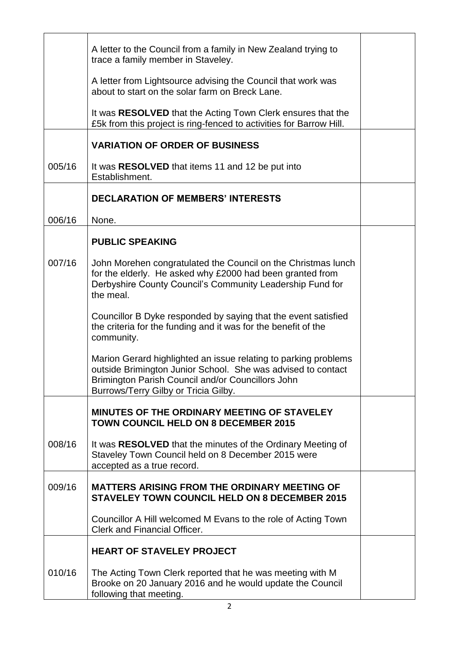|        | A letter to the Council from a family in New Zealand trying to<br>trace a family member in Staveley.                                                                                                                         |  |
|--------|------------------------------------------------------------------------------------------------------------------------------------------------------------------------------------------------------------------------------|--|
|        | A letter from Lightsource advising the Council that work was<br>about to start on the solar farm on Breck Lane.                                                                                                              |  |
|        | It was RESOLVED that the Acting Town Clerk ensures that the<br>£5k from this project is ring-fenced to activities for Barrow Hill.                                                                                           |  |
|        | <b>VARIATION OF ORDER OF BUSINESS</b>                                                                                                                                                                                        |  |
| 005/16 | It was RESOLVED that items 11 and 12 be put into<br>Establishment.                                                                                                                                                           |  |
|        | <b>DECLARATION OF MEMBERS' INTERESTS</b>                                                                                                                                                                                     |  |
| 006/16 | None.                                                                                                                                                                                                                        |  |
|        | <b>PUBLIC SPEAKING</b>                                                                                                                                                                                                       |  |
| 007/16 | John Morehen congratulated the Council on the Christmas lunch<br>for the elderly. He asked why £2000 had been granted from<br>Derbyshire County Council's Community Leadership Fund for<br>the meal.                         |  |
|        | Councillor B Dyke responded by saying that the event satisfied<br>the criteria for the funding and it was for the benefit of the<br>community.                                                                               |  |
|        | Marion Gerard highlighted an issue relating to parking problems<br>outside Brimington Junior School. She was advised to contact<br>Brimington Parish Council and/or Councillors John<br>Burrows/Terry Gilby or Tricia Gilby. |  |
|        | MINUTES OF THE ORDINARY MEETING OF STAVELEY<br><b>TOWN COUNCIL HELD ON 8 DECEMBER 2015</b>                                                                                                                                   |  |
| 008/16 | It was RESOLVED that the minutes of the Ordinary Meeting of<br>Staveley Town Council held on 8 December 2015 were<br>accepted as a true record.                                                                              |  |
| 009/16 | <b>MATTERS ARISING FROM THE ORDINARY MEETING OF</b><br><b>STAVELEY TOWN COUNCIL HELD ON 8 DECEMBER 2015</b>                                                                                                                  |  |
|        | Councillor A Hill welcomed M Evans to the role of Acting Town<br><b>Clerk and Financial Officer.</b>                                                                                                                         |  |
|        | <b>HEART OF STAVELEY PROJECT</b>                                                                                                                                                                                             |  |
| 010/16 | The Acting Town Clerk reported that he was meeting with M<br>Brooke on 20 January 2016 and he would update the Council<br>following that meeting.                                                                            |  |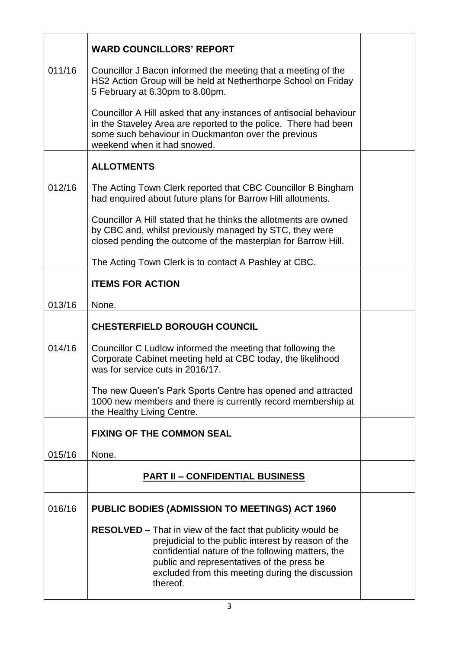|        | <b>WARD COUNCILLORS' REPORT</b>                                                                                                                                                                                                                                                              |  |
|--------|----------------------------------------------------------------------------------------------------------------------------------------------------------------------------------------------------------------------------------------------------------------------------------------------|--|
| 011/16 | Councillor J Bacon informed the meeting that a meeting of the<br>HS2 Action Group will be held at Netherthorpe School on Friday<br>5 February at 6.30pm to 8.00pm.                                                                                                                           |  |
|        | Councillor A Hill asked that any instances of antisocial behaviour<br>in the Staveley Area are reported to the police. There had been<br>some such behaviour in Duckmanton over the previous<br>weekend when it had snowed.                                                                  |  |
|        | <b>ALLOTMENTS</b>                                                                                                                                                                                                                                                                            |  |
| 012/16 | The Acting Town Clerk reported that CBC Councillor B Bingham<br>had enquired about future plans for Barrow Hill allotments.                                                                                                                                                                  |  |
|        | Councillor A Hill stated that he thinks the allotments are owned<br>by CBC and, whilst previously managed by STC, they were<br>closed pending the outcome of the masterplan for Barrow Hill.                                                                                                 |  |
|        | The Acting Town Clerk is to contact A Pashley at CBC.                                                                                                                                                                                                                                        |  |
|        | <b>ITEMS FOR ACTION</b>                                                                                                                                                                                                                                                                      |  |
| 013/16 | None.                                                                                                                                                                                                                                                                                        |  |
|        | <b>CHESTERFIELD BOROUGH COUNCIL</b>                                                                                                                                                                                                                                                          |  |
| 014/16 | Councillor C Ludlow informed the meeting that following the<br>Corporate Cabinet meeting held at CBC today, the likelihood<br>was for service cuts in 2016/17.                                                                                                                               |  |
|        | The new Queen's Park Sports Centre has opened and attracted<br>1000 new members and there is currently record membership at<br>the Healthy Living Centre.                                                                                                                                    |  |
|        | <b>FIXING OF THE COMMON SEAL</b>                                                                                                                                                                                                                                                             |  |
| 015/16 | None.                                                                                                                                                                                                                                                                                        |  |
|        | <b>PART II - CONFIDENTIAL BUSINESS</b>                                                                                                                                                                                                                                                       |  |
| 016/16 | <b>PUBLIC BODIES (ADMISSION TO MEETINGS) ACT 1960</b>                                                                                                                                                                                                                                        |  |
|        | <b>RESOLVED – That in view of the fact that publicity would be</b><br>prejudicial to the public interest by reason of the<br>confidential nature of the following matters, the<br>public and representatives of the press be<br>excluded from this meeting during the discussion<br>thereof. |  |